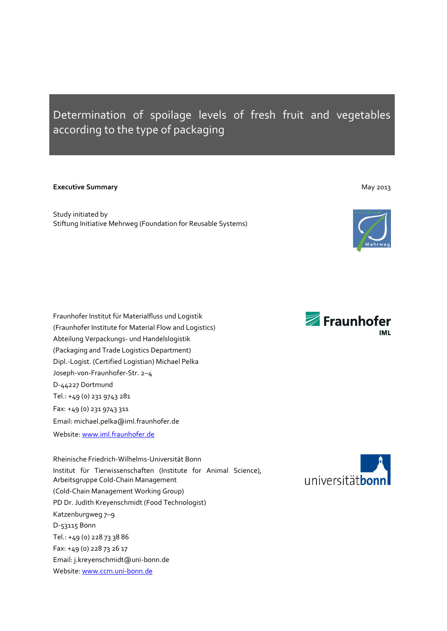# Determination of spoilage levels of fresh fruit and vegetables according to the type of packaging

### **Executive Summary** May 2013

Study initiated by Stiftung Initiative Mehrweg (Foundation for Reusable Systems)



Fraunhofer Institut für Materialfluss und Logistik (Fraunhofer Institute for Material Flow and Logistics) Abteilung Verpackungs- und Handelslogistik (Packaging and Trade Logistics Department) Dipl.-Logist. (Certified Logistian) Michael Pelka Joseph-von-Fraunhofer-Str. 2–4 D-44227 Dortmund Tel.: +49 (0) 231 9743 281 Fax: +49 (0) 231 9743 311 Email: michael.pelka@iml.fraunhofer.de Website[: www.iml.fraunhofer.de](http://www.iml.fraunhofer.de/)

Rheinische Friedrich-Wilhelms-Universität Bonn Institut für Tierwissenschaften (Institute for Animal Science), Arbeitsgruppe Cold-Chain Management (Cold-Chain Management Working Group) PD Dr. Judith Kreyenschmidt (Food Technologist) Katzenburgweg 7–9 D-53115 Bonn Tel.: +49 (0) 228 73 38 86 Fax: +49 (0) 228 73 26 17 Email: j.kreyenschmidt@uni-bonn.de Website: [www.ccm.uni-bonn.de](http://www.ccm.uni-bonn.de/)



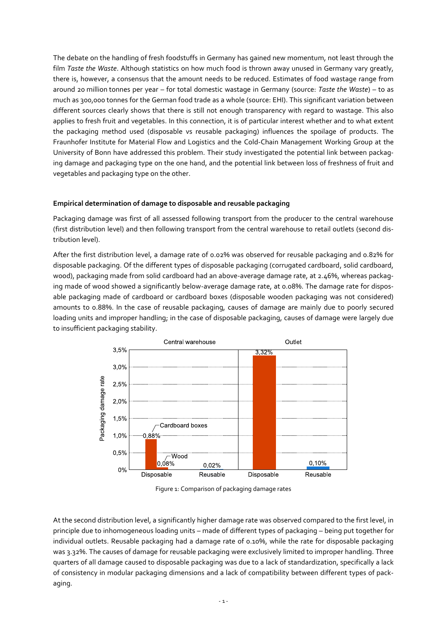The debate on the handling of fresh foodstuffs in Germany has gained new momentum, not least through the film *Taste the Waste*. Although statistics on how much food is thrown away unused in Germany vary greatly, there is, however, a consensus that the amount needs to be reduced. Estimates of food wastage range from around 20 million tonnes per year – for total domestic wastage in Germany (source: *Taste the Waste*) – to as much as 300,000 tonnes for the German food trade as a whole (source: EHI). This significant variation between different sources clearly shows that there is still not enough transparency with regard to wastage. This also applies to fresh fruit and vegetables. In this connection, it is of particular interest whether and to what extent the packaging method used (disposable vs reusable packaging) influences the spoilage of products. The Fraunhofer Institute for Material Flow and Logistics and the Cold-Chain Management Working Group at the University of Bonn have addressed this problem. Their study investigated the potential link between packaging damage and packaging type on the one hand, and the potential link between loss of freshness of fruit and vegetables and packaging type on the other.

# **Empirical determination of damage to disposable and reusable packaging**

Packaging damage was first of all assessed following transport from the producer to the central warehouse (first distribution level) and then following transport from the central warehouse to retail outlets (second distribution level).

After the first distribution level, a damage rate of 0.02% was observed for reusable packaging and 0.82% for disposable packaging. Of the different types of disposable packaging (corrugated cardboard, solid cardboard, wood), packaging made from solid cardboard had an above-average damage rate, at 2.46%, whereas packaging made of wood showed a significantly below-average damage rate, at 0.08%. The damage rate for disposable packaging made of cardboard or cardboard boxes (disposable wooden packaging was not considered) amounts to 0.88%. In the case of reusable packaging, causes of damage are mainly due to poorly secured loading units and improper handling; in the case of disposable packaging, causes of damage were largely due to insufficient packaging stability.



Figure 1: Comparison of packaging damage rates

At the second distribution level, a significantly higher damage rate was observed compared to the first level, in principle due to inhomogeneous loading units – made of different types of packaging – being put together for individual outlets. Reusable packaging had a damage rate of 0.10%, while the rate for disposable packaging was 3.32%. The causes of damage for reusable packaging were exclusively limited to improper handling. Three quarters of all damage caused to disposable packaging was due to a lack of standardization, specifically a lack of consistency in modular packaging dimensions and a lack of compatibility between different types of packaging.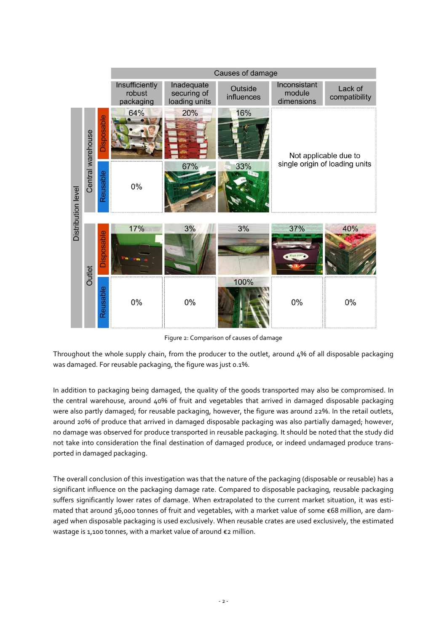

Figure 2: Comparison of causes of damage

Throughout the whole supply chain, from the producer to the outlet, around 4% of all disposable packaging was damaged. For reusable packaging, the figure was just 0.1%.

In addition to packaging being damaged, the quality of the goods transported may also be compromised. In the central warehouse, around 40% of fruit and vegetables that arrived in damaged disposable packaging were also partly damaged; for reusable packaging, however, the figure was around 22%. In the retail outlets, around 20% of produce that arrived in damaged disposable packaging was also partially damaged; however, no damage was observed for produce transported in reusable packaging. It should be noted that the study did not take into consideration the final destination of damaged produce, or indeed undamaged produce transported in damaged packaging.

The overall conclusion of this investigation was that the nature of the packaging (disposable or reusable) has a significant influence on the packaging damage rate. Compared to disposable packaging, reusable packaging suffers significantly lower rates of damage. When extrapolated to the current market situation, it was estimated that around 36,000 tonnes of fruit and vegetables, with a market value of some €68 million, are damaged when disposable packaging is used exclusively. When reusable crates are used exclusively, the estimated wastage is 1,100 tonnes, with a market value of around €2 million.